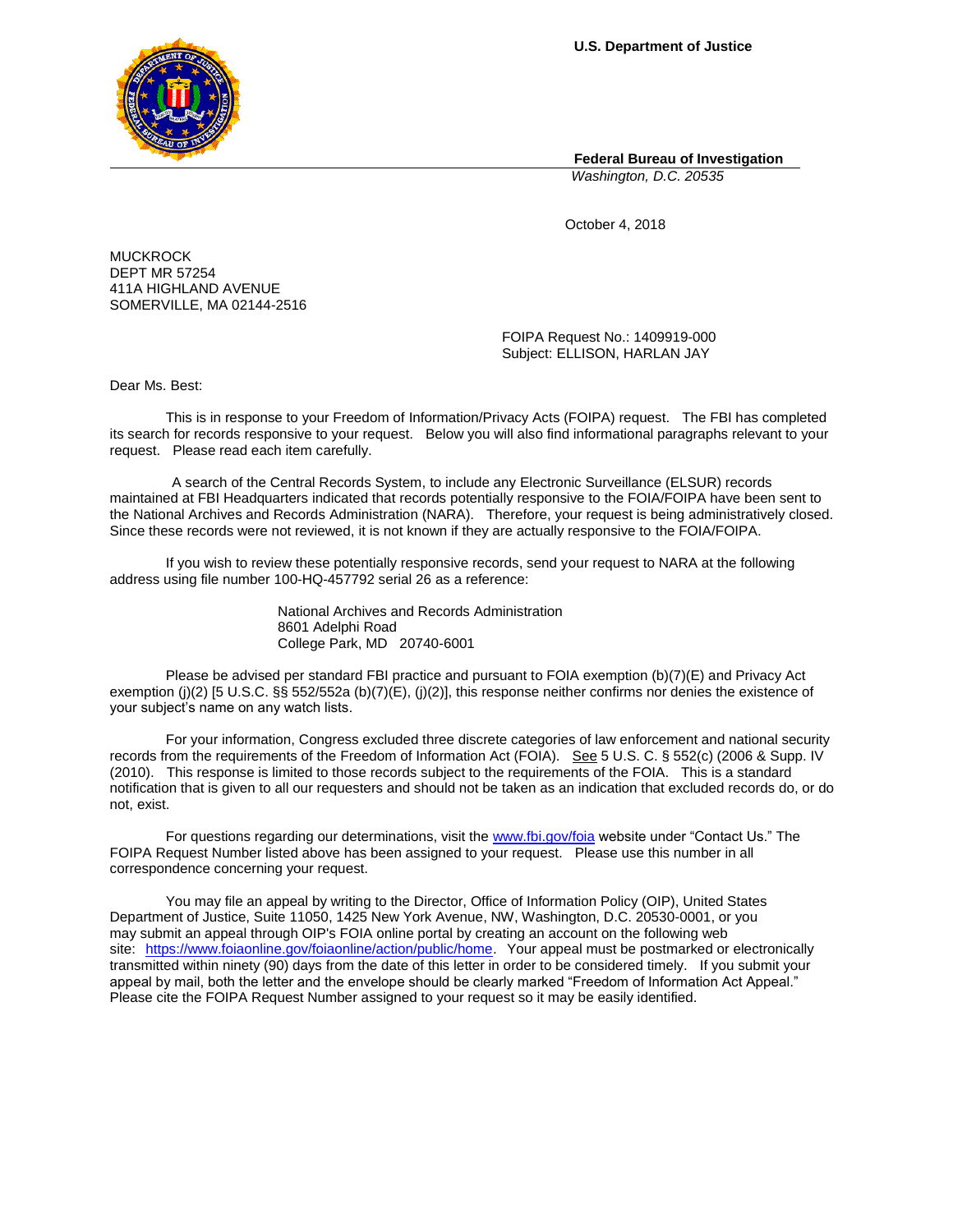**U.S. Department of Justice**

**Federal Bureau of Investigation**

*Washington, D.C. 20535*

October 4, 2018

MUCKROCK DEPT MR 57254 411A HIGHLAND AVENUE SOMERVILLE, MA 02144-2516

> FOIPA Request No.: 1409919-000 Subject: ELLISON, HARLAN JAY

Dear Ms. Best:

This is in response to your Freedom of Information/Privacy Acts (FOIPA) request. The FBI has completed its search for records responsive to your request. Below you will also find informational paragraphs relevant to your request. Please read each item carefully.

A search of the Central Records System, to include any Electronic Surveillance (ELSUR) records maintained at FBI Headquarters indicated that records potentially responsive to the FOIA/FOIPA have been sent to the National Archives and Records Administration (NARA). Therefore, your request is being administratively closed. Since these records were not reviewed, it is not known if they are actually responsive to the FOIA/FOIPA.

If you wish to review these potentially responsive records, send your request to NARA at the following address using file number 100-HQ-457792 serial 26 as a reference:

> National Archives and Records Administration 8601 Adelphi Road College Park, MD 20740-6001

Please be advised per standard FBI practice and pursuant to FOIA exemption (b)(7)(E) and Privacy Act exemption (j)(2) [5 U.S.C. §§ 552/552a (b)(7)(E), (j)(2)], this response neither confirms nor denies the existence of your subject's name on any watch lists.

For your information, Congress excluded three discrete categories of law enforcement and national security records from the requirements of the Freedom of Information Act (FOIA). See 5 U.S. C. § 552(c) (2006 & Supp. IV (2010). This response is limited to those records subject to the requirements of the FOIA. This is a standard notification that is given to all our requesters and should not be taken as an indication that excluded records do, or do not, exist.

For questions regarding our determinations, visit th[e www.fbi.gov/foia](http://www.fbi.gov/foia) website under "Contact Us." The FOIPA Request Number listed above has been assigned to your request. Please use this number in all correspondence concerning your request.

You may file an appeal by writing to the Director, Office of Information Policy (OIP), United States Department of Justice, Suite 11050, 1425 New York Avenue, NW, Washington, D.C. 20530-0001, or you may submit an appeal through OIP's FOIA online portal by creating an account on the following web site: [https://www.foiaonline.gov/foiaonline/action/public/home.](https://foiaonline.gov/foiaonline/action/public/home) Your appeal must be postmarked or electronically transmitted within ninety (90) days from the date of this letter in order to be considered timely. If you submit your appeal by mail, both the letter and the envelope should be clearly marked "Freedom of Information Act Appeal." Please cite the FOIPA Request Number assigned to your request so it may be easily identified.

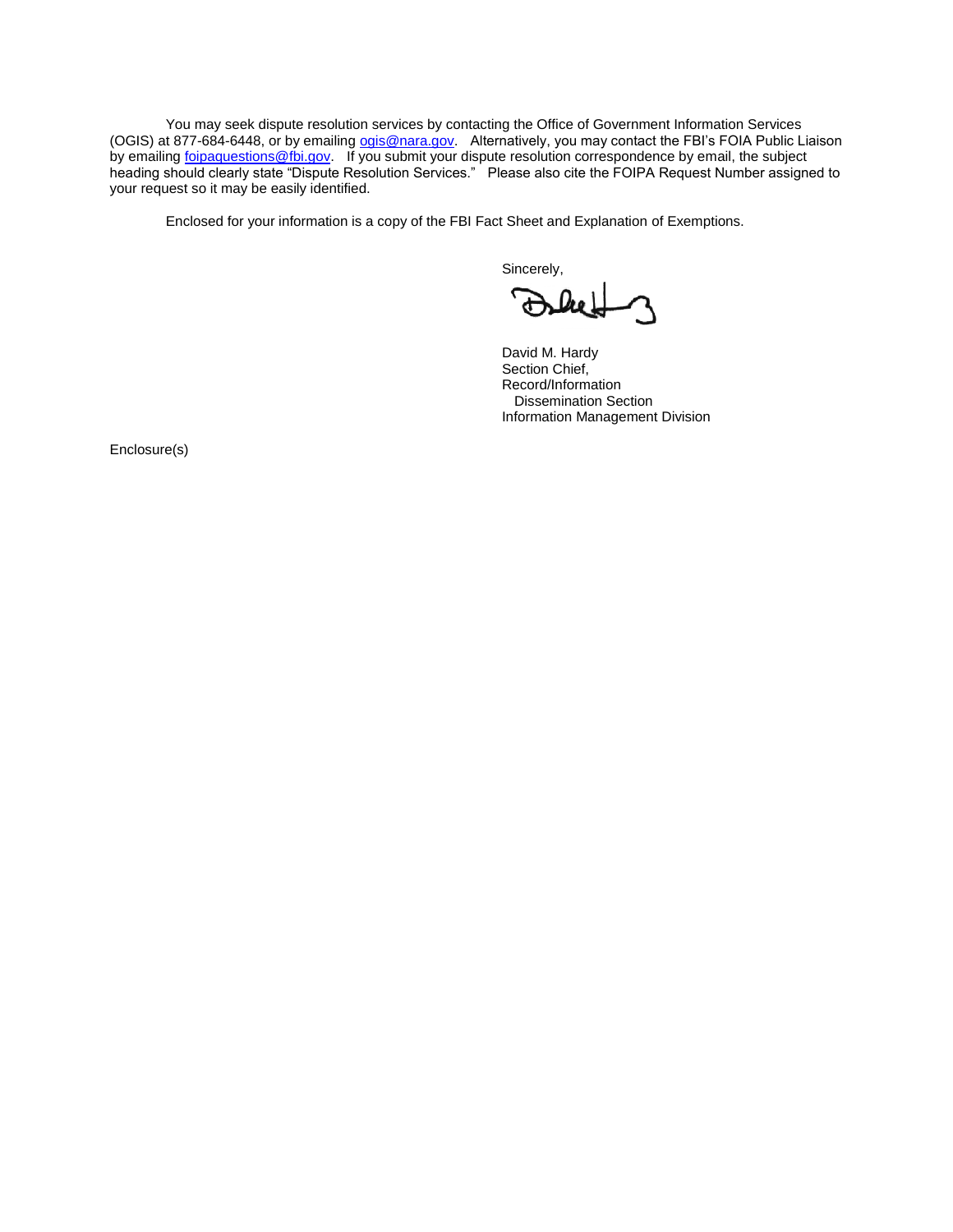You may seek dispute resolution services by contacting the Office of Government Information Services (OGIS) at 877-684-6448, or by emailing [ogis@nara.gov.](mailto:ogis@nara.gov) Alternatively, you may contact the FBI's FOIA Public Liaison by emailin[g foipaquestions@fbi.gov.](mailto:foipaquestions@ic.fbi.gov) If you submit your dispute resolution correspondence by email, the subject heading should clearly state "Dispute Resolution Services." Please also cite the FOIPA Request Number assigned to your request so it may be easily identified.

Enclosed for your information is a copy of the FBI Fact Sheet and Explanation of Exemptions.

Sincerely,

David M. Hardy Section Chief, Record/Information Dissemination Section Information Management Division

Enclosure(s)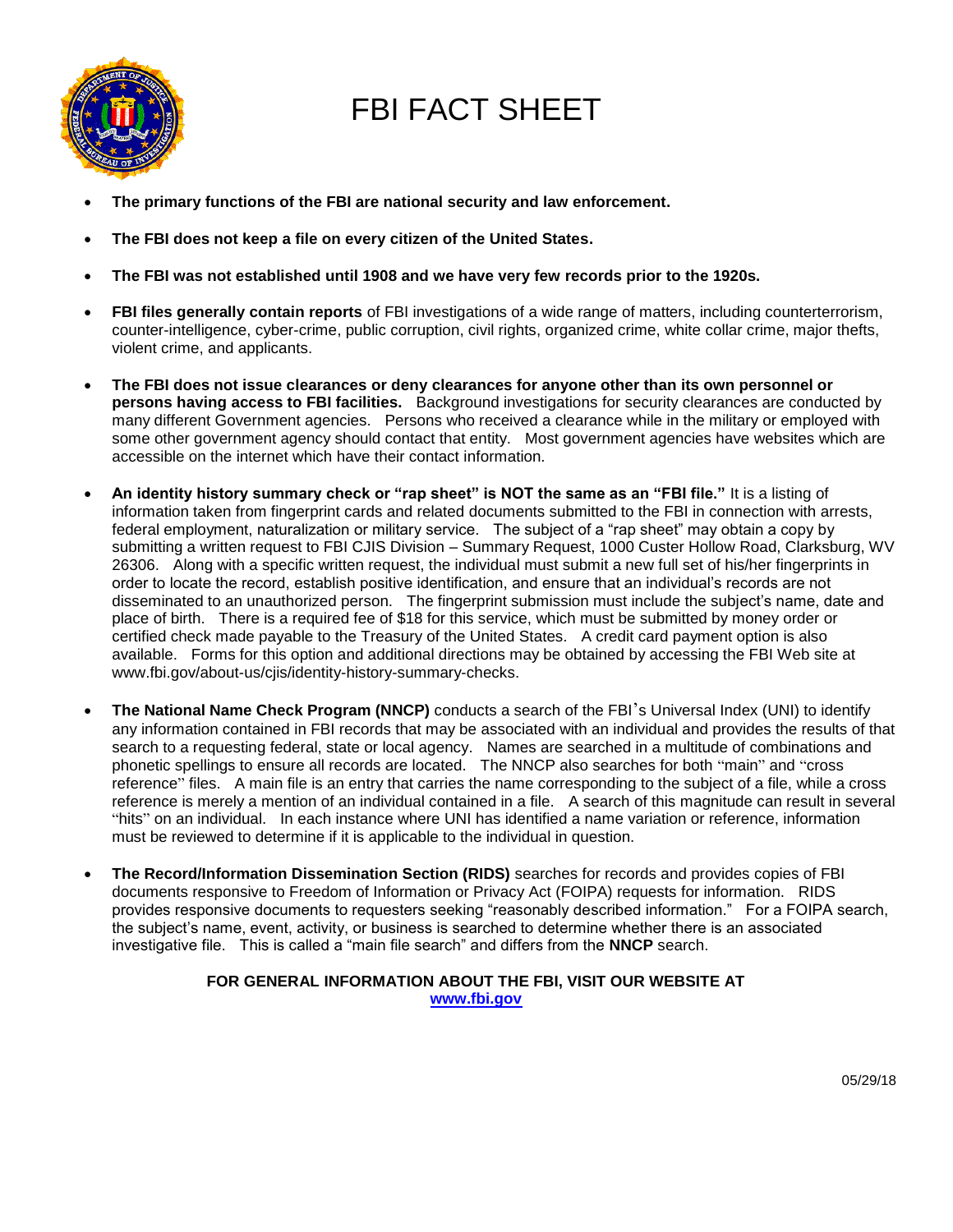

# FBI FACT SHEET

- **The primary functions of the FBI are national security and law enforcement.**
- **The FBI does not keep a file on every citizen of the United States.**
- **The FBI was not established until 1908 and we have very few records prior to the 1920s.**
- **FBI files generally contain reports** of FBI investigations of a wide range of matters, including counterterrorism, counter-intelligence, cyber-crime, public corruption, civil rights, organized crime, white collar crime, major thefts, violent crime, and applicants.
- **The FBI does not issue clearances or deny clearances for anyone other than its own personnel or persons having access to FBI facilities.** Background investigations for security clearances are conducted by many different Government agencies. Persons who received a clearance while in the military or employed with some other government agency should contact that entity. Most government agencies have websites which are accessible on the internet which have their contact information.
- **An identity history summary check or "rap sheet" is NOT the same as an "FBI file."** It is a listing of information taken from fingerprint cards and related documents submitted to the FBI in connection with arrests, federal employment, naturalization or military service. The subject of a "rap sheet" may obtain a copy by submitting a written request to FBI CJIS Division – Summary Request, 1000 Custer Hollow Road, Clarksburg, WV 26306. Along with a specific written request, the individual must submit a new full set of his/her fingerprints in order to locate the record, establish positive identification, and ensure that an individual's records are not disseminated to an unauthorized person. The fingerprint submission must include the subject's name, date and place of birth. There is a required fee of \$18 for this service, which must be submitted by money order or certified check made payable to the Treasury of the United States. A credit card payment option is also available. Forms for this option and additional directions may be obtained by accessing the FBI Web site at www.fbi.gov/about-us/cjis/identity-history-summary-checks.
- **The National Name Check Program (NNCP)** conducts a search of the FBI's Universal Index (UNI) to identify any information contained in FBI records that may be associated with an individual and provides the results of that search to a requesting federal, state or local agency. Names are searched in a multitude of combinations and phonetic spellings to ensure all records are located. The NNCP also searches for both "main" and "cross reference" files. A main file is an entry that carries the name corresponding to the subject of a file, while a cross reference is merely a mention of an individual contained in a file. A search of this magnitude can result in several "hits" on an individual. In each instance where UNI has identified a name variation or reference, information must be reviewed to determine if it is applicable to the individual in question.
- **The Record/Information Dissemination Section (RIDS)** searches for records and provides copies of FBI documents responsive to Freedom of Information or Privacy Act (FOIPA) requests for information. RIDS provides responsive documents to requesters seeking "reasonably described information." For a FOIPA search, the subject's name, event, activity, or business is searched to determine whether there is an associated investigative file. This is called a "main file search" and differs from the **NNCP** search.

# **FOR GENERAL INFORMATION ABOUT THE FBI, VISIT OUR WEBSITE AT www.fbi.gov**